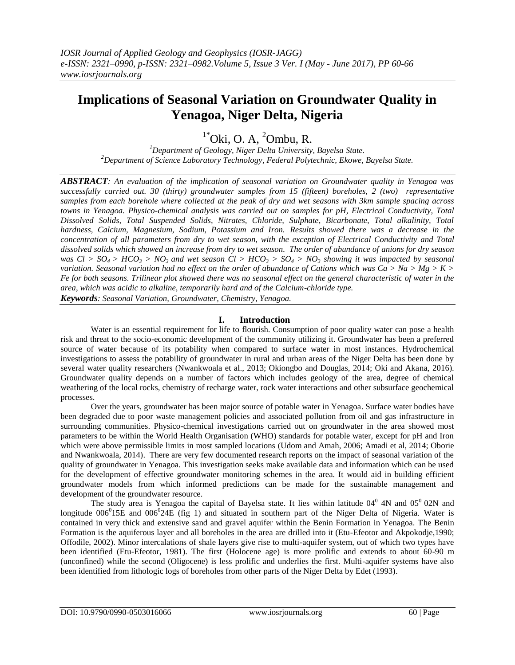# **Implications of Seasonal Variation on Groundwater Quality in Yenagoa, Niger Delta, Nigeria**

## $1*O$ ki, O. A,  $2O$ mbu, R.

*<sup>1</sup>Department of Geology, Niger Delta University, Bayelsa State. <sup>2</sup>Department of Science Laboratory Technology, Federal Polytechnic, Ekowe, Bayelsa State.*

*ABSTRACT: An evaluation of the implication of seasonal variation on Groundwater quality in Yenagoa was successfully carried out. 30 (thirty) groundwater samples from 15 (fifteen) boreholes, 2 (two) representative samples from each borehole where collected at the peak of dry and wet seasons with 3km sample spacing across towns in Yenagoa. Physico-chemical analysis was carried out on samples for pH, Electrical Conductivity, Total Dissolved Solids, Total Suspended Solids, Nitrates, Chloride, Sulphate, Bicarbonate, Total alkalinity, Total hardness, Calcium, Magnesium, Sodium, Potassium and Iron. Results showed there was a decrease in the concentration of all parameters from dry to wet season, with the exception of Electrical Conductivity and Total dissolved solids which showed an increase from dry to wet season. The order of abundance of anions for dry season was Cl* >  $SO_4$  >  $HCO_3$  >  $NO_3$  *and wet season Cl* >  $HCO_3$  >  $SO_4$  >  $NO_3$  *showing it was impacted by seasonal variation. Seasonal variation had no effect on the order of abundance of Cations which was Ca > Na > Mg > K > Fe for both seasons. Trilinear plot showed there was no seasonal effect on the general characteristic of water in the area, which was acidic to alkaline, temporarily hard and of the Calcium-chloride type. Keywords: Seasonal Variation, Groundwater, Chemistry, Yenagoa.*

### **I. Introduction**

Water is an essential requirement for life to flourish. Consumption of poor quality water can pose a health risk and threat to the socio-economic development of the community utilizing it. Groundwater has been a preferred source of water because of its potability when compared to surface water in most instances. Hydrochemical investigations to assess the potability of groundwater in rural and urban areas of the Niger Delta has been done by several water quality researchers (Nwankwoala et al., 2013; Okiongbo and Douglas, 2014; Oki and Akana, 2016). Groundwater quality depends on a number of factors which includes geology of the area, degree of chemical weathering of the local rocks, chemistry of recharge water, rock water interactions and other subsurface geochemical processes.

Over the years, groundwater has been major source of potable water in Yenagoa. Surface water bodies have been degraded due to poor waste management policies and associated pollution from oil and gas infrastructure in surrounding communities. Physico-chemical investigations carried out on groundwater in the area showed most parameters to be within the World Health Organisation (WHO) standards for potable water, except for pH and Iron which were above permissible limits in most sampled locations (Udom and Amah, 2006; Amadi et al, 2014; Oborie and Nwankwoala, 2014). There are very few documented research reports on the impact of seasonal variation of the quality of groundwater in Yenagoa. This investigation seeks make available data and information which can be used for the development of effective groundwater monitoring schemes in the area. It would aid in building efficient groundwater models from which informed predictions can be made for the sustainable management and development of the groundwater resource.

The study area is Yenagoa the capital of Bayelsa state. It lies within latitude  $04^{\circ}$  4N and  $05^{\circ}$  02N and longitude  $006^015E$  and  $006^024E$  (fig 1) and situated in southern part of the Niger Delta of Nigeria. Water is contained in very thick and extensive sand and gravel aquifer within the Benin Formation in Yenagoa. The Benin Formation is the aquiferous layer and all boreholes in the area are drilled into it (Etu-Efeotor and Akpokodje,1990; Offodile, 2002). Minor intercalations of shale layers give rise to multi-aquifer system, out of which two types have been identified (Etu-Efeotor, 1981). The first (Holocene age) is more prolific and extends to about 60-90 m (unconfined) while the second (Oligocene) is less prolific and underlies the first. Multi-aquifer systems have also been identified from lithologic logs of boreholes from other parts of the Niger Delta by Edet (1993).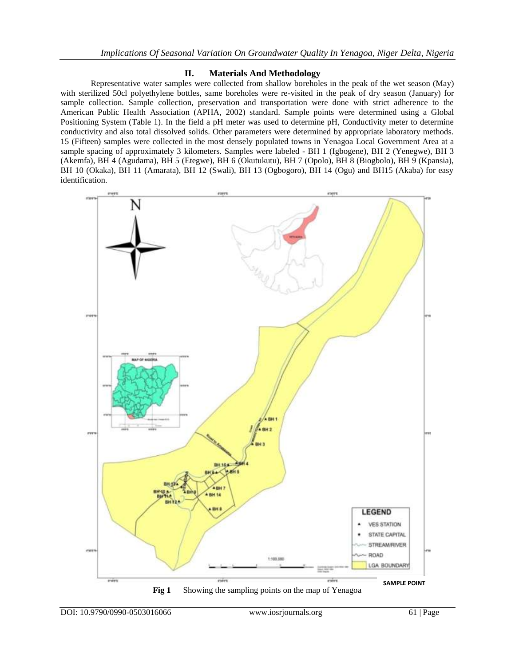## **II. Materials And Methodology**

Representative water samples were collected from shallow boreholes in the peak of the wet season (May) with sterilized 50cl polyethylene bottles, same boreholes were re-visited in the peak of dry season (January) for sample collection. Sample collection, preservation and transportation were done with strict adherence to the American Public Health Association (APHA, 2002) standard. Sample points were determined using a Global Positioning System (Table 1). In the field a pH meter was used to determine pH, Conductivity meter to determine conductivity and also total dissolved solids. Other parameters were determined by appropriate laboratory methods. 15 (Fifteen) samples were collected in the most densely populated towns in Yenagoa Local Government Area at a sample spacing of approximately 3 kilometers. Samples were labeled - BH 1 (Igbogene), BH 2 (Yenegwe), BH 3 (Akemfa), BH 4 (Agudama), BH 5 (Etegwe), BH 6 (Okutukutu), BH 7 (Opolo), BH 8 (Biogbolo), BH 9 (Kpansia), BH 10 (Okaka), BH 11 (Amarata), BH 12 (Swali), BH 13 (Ogbogoro), BH 14 (Ogu) and BH15 (Akaba) for easy identification.

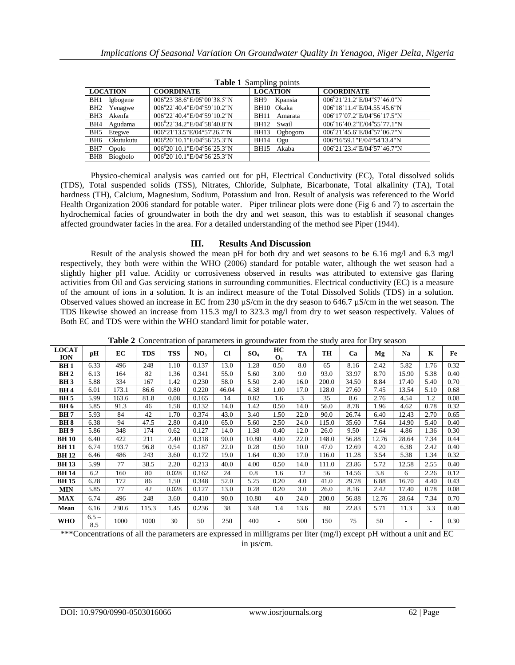| <b>Table 1</b> Sampling points |                                                  |                         |                                              |  |  |  |  |  |  |  |
|--------------------------------|--------------------------------------------------|-------------------------|----------------------------------------------|--|--|--|--|--|--|--|
| <b>LOCATION</b>                | <b>COORDINATE</b>                                | <b>LOCATION</b>         | <b>COORDINATE</b>                            |  |  |  |  |  |  |  |
| BH1<br>Igbogene                | 006°23′38.6″E/05°00′38.5″N                       | BH9<br>Kpansia          | $006^{0}21'21.2"E/04°57'46.0"N$              |  |  |  |  |  |  |  |
| BH <sub>2</sub><br>Yenagwe     | 006°22′40.4″E/04°59′10.2″N                       | BH10 Okaka              | 006°18′11.4″E/04.55′45.6″N                   |  |  |  |  |  |  |  |
| Akenfa<br>BH <sub>3</sub>      | $0.06^{\circ}22'$ 40.4"E/04 $^{\circ}59'$ 10.2"N | <b>BH11</b><br>Amarata  | 006°17'07.2"E/04°56'17.5"N                   |  |  |  |  |  |  |  |
| BH4<br>Agudama                 | $0.06^{0}$ 22'34.2"E/04°58'40.8"N                | Swail<br><b>BH12</b>    | 006°16'40.2"F/04°55'77.1"N                   |  |  |  |  |  |  |  |
| BH5<br>Etegwe                  | 006°21'13.5"E/04°57'26.7"N                       | Ogbogoro<br><b>BH13</b> | 006°21′45.6″E/04°57′06.7″N                   |  |  |  |  |  |  |  |
| Okutukutu<br>BH6               | 006°20′10.1″E/04°56′25.3″N                       | <b>BH14</b><br>Ogu      | 006°16'59.1"E/04°54'13.4"N                   |  |  |  |  |  |  |  |
| BH7<br><b>Opolo</b>            | 006°20′10.1″E/04°56′25.3″N                       | Akaba<br><b>BH15</b>    | $006^{\circ}21'23.4''E/04^{\circ}57'46.7''N$ |  |  |  |  |  |  |  |
| Biogbolo<br>BH <sub>8</sub>    | $0.06^{0}20'10.1"E/04°56'25.3"N$                 |                         |                                              |  |  |  |  |  |  |  |

**Table 1** Sampling points

Physico-chemical analysis was carried out for pH, Electrical Conductivity (EC), Total dissolved solids (TDS), Total suspended solids (TSS), Nitrates, Chloride, Sulphate, Bicarbonate, Total alkalinity (TA), Total hardness (TH), Calcium, Magnesium, Sodium, Potassium and Iron. Result of analysis was referenced to the World Health Organization 2006 standard for potable water. Piper trilinear plots were done (Fig 6 and 7) to ascertain the hydrochemical facies of groundwater in both the dry and wet season, this was to establish if seasonal changes affected groundwater facies in the area. For a detailed understanding of the method see Piper (1944).

### **III. Results And Discussion**

Result of the analysis showed the mean pH for both dry and wet seasons to be 6.16 mg/l and 6.3 mg/l respectively, they both were within the WHO (2006) standard for potable water, although the wet season had a slightly higher pH value. Acidity or corrosiveness observed in results was attributed to extensive gas flaring activities from Oil and Gas servicing stations in surrounding communities. Electrical conductivity (EC) is a measure of the amount of ions in a solution. It is an indirect measure of the Total Dissolved Solids (TDS) in a solution. Observed values showed an increase in EC from 230 µS/cm in the dry season to 646.7 µS/cm in the wet season. The TDS likewise showed an increase from 115.3 mg/l to 323.3 mg/l from dry to wet season respectively. Values of Both EC and TDS were within the WHO standard limit for potable water.

| <b>LOCAT</b><br><b>ION</b> | pH             | EC    | <b>TDS</b> | <b>TSS</b> | NO <sub>3</sub> | <b>Cl</b> | SO <sub>4</sub> | HC<br>$\mathbf{O}_3$ | TA   | TH    | Ca    | Mg    | Na    | $\mathbf K$ | Fe   |
|----------------------------|----------------|-------|------------|------------|-----------------|-----------|-----------------|----------------------|------|-------|-------|-------|-------|-------------|------|
| BH 1                       | 6.33           | 496   | 248        | 1.10       | 0.137           | 13.0      | 1.28            | 0.50                 | 8.0  | 65    | 8.16  | 2.42  | 5.82  | 1.76        | 0.32 |
| BH <sub>2</sub>            | 6.13           | 164   | 82         | 1.36       | 0.341           | 55.0      | 5.60            | 3.00                 | 9.0  | 93.0  | 33.97 | 8.70  | 15.90 | 5.38        | 0.40 |
| <b>BH3</b>                 | 5.88           | 334   | 167        | 1.42       | 0.230           | 58.0      | 5.50            | 2.40                 | 16.0 | 200.0 | 34.50 | 8.84  | 17.40 | 5.40        | 0.70 |
| BH 4                       | 6.01           | 173.1 | 86.6       | 0.80       | 0.220           | 46.04     | 4.38            | 1.00                 | 17.0 | 128.0 | 27.60 | 7.45  | 13.54 | 5.10        | 0.68 |
| <b>BH</b> <sub>5</sub>     | 5.99           | 163.6 | 81.8       | 0.08       | 0.165           | 14        | 0.82            | 1.6                  | 3    | 35    | 8.6   | 2.76  | 4.54  | 1.2         | 0.08 |
| <b>BH6</b>                 | 5.85           | 91.3  | 46         | 1.58       | 0.132           | 14.0      | 1.42            | 0.50                 | 14.0 | 56.0  | 8.78  | 1.96  | 4.62  | 0.78        | 0.32 |
| <b>BH7</b>                 | 5.93           | 84    | 42         | 1.70       | 0.374           | 43.0      | 3.40            | 1.50                 | 22.0 | 90.0  | 26.74 | 6.40  | 12.43 | 2.70        | 0.65 |
| <b>BH8</b>                 | 6.38           | 94    | 47.5       | 2.80       | 0.410           | 65.0      | 5.60            | 2.50                 | 24.0 | 115.0 | 35.60 | 7.64  | 14.90 | 5.40        | 0.40 |
| <b>BH9</b>                 | 5.86           | 348   | 174        | 0.62       | 0.127           | 14.0      | 1.38            | 0.40                 | 12.0 | 26.0  | 9.50  | 2.64  | 4.86  | 1.36        | 0.30 |
| <b>BH10</b>                | 6.40           | 422   | 211        | 2.40       | 0.318           | 90.0      | 10.80           | 4.00                 | 22.0 | 148.0 | 56.88 | 12.76 | 28.64 | 7.34        | 0.44 |
| <b>BH11</b>                | 6.74           | 193.7 | 96.8       | 0.54       | 0.187           | 22.0      | 0.28            | 0.50                 | 10.0 | 47.0  | 12.69 | 4.20  | 6.38  | 2.42        | 0.40 |
| <b>BH12</b>                | 6.46           | 486   | 243        | 3.60       | 0.172           | 19.0      | 1.64            | 0.30                 | 17.0 | 116.0 | 11.28 | 3.54  | 5.38  | 1.34        | 0.32 |
| <b>BH13</b>                | 5.99           | 77    | 38.5       | 2.20       | 0.213           | 40.0      | 4.00            | 0.50                 | 14.0 | 111.0 | 23.86 | 5.72  | 12.58 | 2.55        | 0.40 |
| <b>BH14</b>                | 6.2            | 160   | 80         | 0.028      | 0.162           | 24        | 0.8             | 1.6                  | 12   | 56    | 14.56 | 3.8   | 6     | 2.26        | 0.12 |
| <b>BH15</b>                | 6.28           | 172   | 86         | 1.50       | 0.348           | 52.0      | 5.25            | 0.20                 | 4.0  | 41.0  | 29.78 | 6.88  | 16.70 | 4.40        | 0.43 |
| <b>MIN</b>                 | 5.85           | 77    | 42         | 0.028      | 0.127           | 13.0      | 0.28            | 0.20                 | 3.0  | 26.0  | 8.16  | 2.42  | 17.40 | 0.78        | 0.08 |
| <b>MAX</b>                 | 6.74           | 496   | 248        | 3.60       | 0.410           | 90.0      | 10.80           | 4.0                  | 24.0 | 200.0 | 56.88 | 12.76 | 28.64 | 7.34        | 0.70 |
| Mean                       | 6.16           | 230.6 | 115.3      | 1.45       | 0.236           | 38        | 3.48            | 1.4                  | 13.6 | 88    | 22.83 | 5.71  | 11.3  | 3.3         | 0.40 |
| WHO                        | $6.5 -$<br>8.5 | 1000  | 1000       | 30         | 50              | 250       | 400             |                      | 500  | 150   | 75    | 50    |       | ۰           | 0.30 |

**Table 2** Concentration of parameters in groundwater from the study area for Dry season

\*\*\*Concentrations of all the parameters are expressed in milligrams per liter (mg/l) except pH without a unit and EC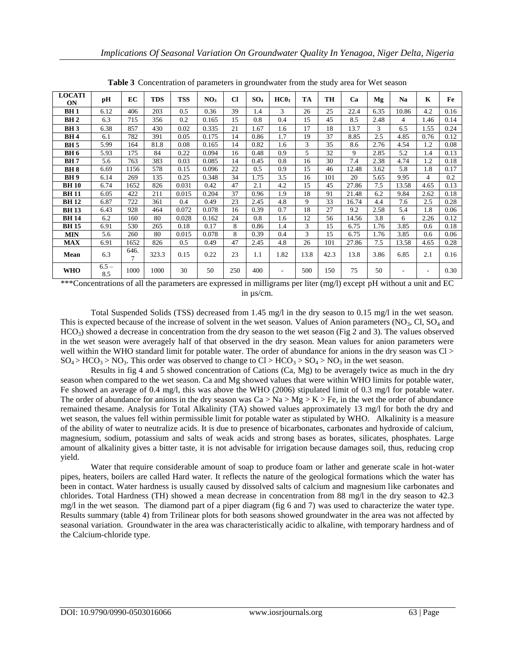| <b>LOCATI</b><br>ON | pH             | EC             | <b>TDS</b> | <b>TSS</b> | NO <sub>3</sub> | $\mathbf{C}$ | SO <sub>4</sub> | HC0 <sub>3</sub>         | TA   | TH   | Ca    | Mg   | Na    | K              | Fe   |
|---------------------|----------------|----------------|------------|------------|-----------------|--------------|-----------------|--------------------------|------|------|-------|------|-------|----------------|------|
| <b>BH1</b>          | 6.12           | 406            | 203        | 0.5        | 0.36            | 39           | 1.4             | 3                        | 26   | 25   | 22.4  | 6.35 | 10.86 | 4.2            | 0.16 |
| BH <sub>2</sub>     | 6.3            | 715            | 356        | 0.2        | 0.165           | 15           | 0.8             | 0.4                      | 15   | 45   | 8.5   | 2.48 | 4     | 1.46           | 0.14 |
| <b>BH3</b>          | 6.38           | 857            | 430        | 0.02       | 0.335           | 21           | 1.67            | 1.6                      | 17   | 18   | 13.7  | 3    | 6.5   | 1.55           | 0.24 |
| <b>BH4</b>          | 6.1            | 782            | 391        | 0.05       | 0.175           | 14           | 0.86            | 1.7                      | 19   | 37   | 8.85  | 2.5  | 4.85  | 0.76           | 0.12 |
| <b>BH</b> 5         | 5.99           | 164            | 81.8       | 0.08       | 0.165           | 14           | 0.82            | 1.6                      | 3    | 35   | 8.6   | 2.76 | 4.54  | 1.2            | 0.08 |
| <b>BH6</b>          | 5.93           | 175            | 84         | 0.22       | 0.094           | 16           | 0.48            | 0.9                      | 5    | 32   | 9     | 2.85 | 5.2   | 1.4            | 0.13 |
| <b>BH7</b>          | 5.6            | 763            | 383        | 0.03       | 0.085           | 14           | 0.45            | 0.8                      | 16   | 30   | 7.4   | 2.38 | 4.74  | 1.2            | 0.18 |
| <b>BH8</b>          | 6.69           | 1156           | 578        | 0.15       | 0.096           | 22           | 0.5             | 0.9                      | 15   | 46   | 12.48 | 3.62 | 5.8   | 1.8            | 0.17 |
| <b>BH9</b>          | 6.14           | 269            | 135        | 0.25       | 0.348           | 34           | 1.75            | 3.5                      | 16   | 101  | 20    | 5.65 | 9.95  | $\overline{4}$ | 0.2  |
| <b>BH10</b>         | 6.74           | 1652           | 826        | 0.031      | 0.42            | 47           | 2.1             | 4.2                      | 15   | 45   | 27.86 | 7.5  | 13.58 | 4.65           | 0.13 |
| <b>BH11</b>         | 6.05           | 422            | 211        | 0.015      | 0.204           | 37           | 0.96            | 1.9                      | 18   | 91   | 21.48 | 6.2  | 9.84  | 2.62           | 0.18 |
| <b>BH12</b>         | 6.87           | 722            | 361        | 0.4        | 0.49            | 23           | 2.45            | 4.8                      | 9    | 33   | 16.74 | 4.4  | 7.6   | 2.5            | 0.28 |
| <b>BH13</b>         | 6.43           | 928            | 464        | 0.072      | 0.078           | 16           | 0.39            | 0.7                      | 18   | 27   | 9.2   | 2.58 | 5.4   | 1.8            | 0.06 |
| <b>BH14</b>         | 6.2            | 160            | 80         | 0.028      | 0.162           | 24           | 0.8             | 1.6                      | 12   | 56   | 14.56 | 3.8  | 6     | 2.26           | 0.12 |
| <b>BH15</b>         | 6.91           | 530            | 265        | 0.18       | 0.17            | 8            | 0.86            | 1.4                      | 3    | 15   | 6.75  | 1.76 | 3.85  | 0.6            | 0.18 |
| <b>MIN</b>          | 5.6            | 260            | 80         | 0.015      | 0.078           | 8            | 0.39            | 0.4                      | 3    | 15   | 6.75  | 1.76 | 3.85  | 0.6            | 0.06 |
| <b>MAX</b>          | 6.91           | 1652           | 826        | 0.5        | 0.49            | 47           | 2.45            | 4.8                      | 26   | 101  | 27.86 | 7.5  | 13.58 | 4.65           | 0.28 |
| Mean                | 6.3            | 646.<br>$\tau$ | 323.3      | 0.15       | 0.22            | 23           | 1.1             | 1.82                     | 13.8 | 42.3 | 13.8  | 3.86 | 6.85  | 2.1            | 0.16 |
| <b>WHO</b>          | $6.5 -$<br>8.5 | 1000           | 1000       | 30         | 50              | 250          | 400             | $\overline{\phantom{0}}$ | 500  | 150  | 75    | 50   | ٠     | ٠              | 0.30 |

**Table 3** Concentration of parameters in groundwater from the study area for Wet season

\*\*\*Concentrations of all the parameters are expressed in milligrams per liter (mg/l) except pH without a unit and EC in µs/cm.

Total Suspended Solids (TSS) decreased from 1.45 mg/l in the dry season to 0.15 mg/l in the wet season. This is expected because of the increase of solvent in the wet season. Values of Anion parameters  $(NO<sub>3</sub>, Cl, SO<sub>4</sub>$  and  $HCO<sub>3</sub>$ ) showed a decrease in concentration from the dry season to the wet season (Fig 2 and 3). The values observed in the wet season were averagely half of that observed in the dry season. Mean values for anion parameters were well within the WHO standard limit for potable water. The order of abundance for anions in the dry season was Cl >  $SO_4$  > HCO<sub>3</sub> > NO<sub>3</sub>. This order was observed to change to Cl > HCO<sub>3</sub> > SO<sub>4</sub> > NO<sub>3</sub> in the wet season.

Results in fig 4 and 5 showed concentration of Cations (Ca, Mg) to be averagely twice as much in the dry season when compared to the wet season. Ca and Mg showed values that were within WHO limits for potable water, Fe showed an average of 0.4 mg/l, this was above the WHO (2006) stipulated limit of 0.3 mg/l for potable water. The order of abundance for anions in the dry season was  $Ca > Na > Mg > K > Fe$ , in the wet the order of abundance remained thesame. Analysis for Total Alkalinity (TA) showed values approximately 13 mg/l for both the dry and wet season, the values fell within permissible limit for potable water as stipulated by WHO. Alkalinity is a measure of the ability of water to neutralize acids. It is due to presence of bicarbonates, carbonates and hydroxide of calcium, magnesium, sodium, potassium and salts of weak acids and strong bases as borates, silicates, phosphates. Large amount of alkalinity gives a bitter taste, it is not advisable for irrigation because damages soil, thus, reducing crop yield.

Water that require considerable amount of soap to produce foam or lather and generate scale in hot-water pipes, heaters, boilers are called Hard water. It reflects the nature of the geological formations which the water has been in contact. Water hardness is usually caused by dissolved salts of calcium and magnesium like carbonates and chlorides. Total Hardness (TH) showed a mean decrease in concentration from 88 mg/l in the dry season to 42.3 mg/l in the wet season. The diamond part of a piper diagram (fig 6 and 7) was used to characterize the water type. Results summary (table 4) from Trilinear plots for both seasons showed groundwater in the area was not affected by seasonal variation. Groundwater in the area was characteristically acidic to alkaline, with temporary hardness and of the Calcium-chloride type.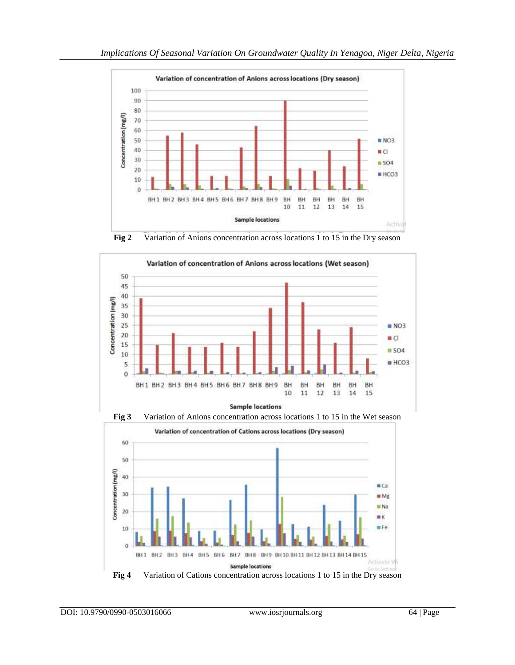

**Fig 2** Variation of Anions concentration across locations 1 to 15 in the Dry season





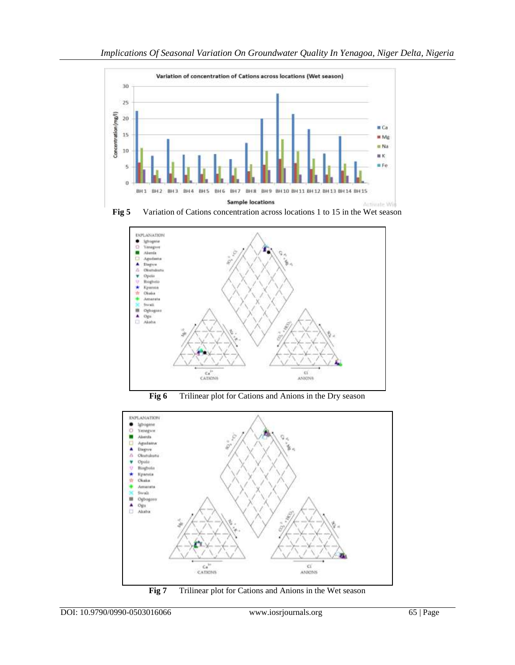





**Fig 6** Trilinear plot for Cations and Anions in the Dry season



**Fig 7** Trilinear plot for Cations and Anions in the Wet season